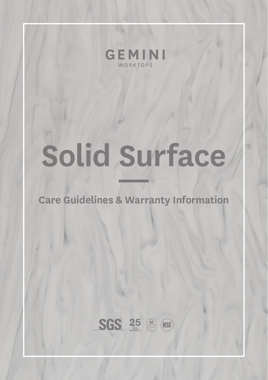

# **Solid Surface —**

### **Care Guidelines & Warranty Information**

 $SGS 25 2$  (NSE)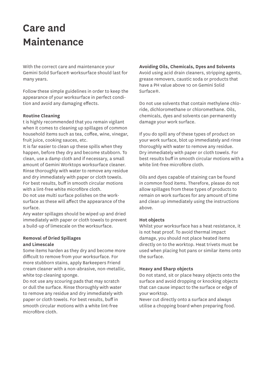## **Care and Maintenance**

With the correct care and maintenance your Gemini Solid Surface® worksurface should last for many years.

Follow these simple guidelines in order to keep the appearance of your worksurface in perfect condition and avoid any damaging effects.

### **Routine Cleaning**

t is highly recommended that you remain vigilant when it comes to cleaning up spillages of common household items such as tea, coffee, wine, vinegar, fruit juice, cooking sauces, etc.

It is far easier to clean up these spills when they happen, before they dry and become stubborn. To clean, use a damp cloth and if necessary, a small amount of Gemini Worktops worksurface cleaner. Rinse thoroughly with water to remove any residue and dry immediately with paper or cloth towels. For best results, buff in smooth circular motions with a lint-free white microfibre cloth.

Do not use multi surface polishes on the worksurface as these will affect the appearance of the surface.

Any water spillages should be wiped up and dried immediately with paper or cloth towels to prevent a build-up of limescale on the worksurface.

### **Removal of Dried Spillages and Limescale**

Some items harden as they dry and become more difficult to remove from your worksurface. For more stubborn stains, apply Barkeepers Friend cream cleaner with a non-abrasive, non-metallic, white top cleaning sponge.

Do not use any scouring pads that may scratch or dull the surface. Rinse thoroughly with water to remove any residue and dry immediately with paper or cloth towels. For best results, buff in smooth circular motions with a white lint-free microfibre cloth.

### **Avoiding Oils, Chemicals, Dyes and Solvents**

Avoid using acid drain cleaners, stripping agents, grease removers, caustic soda or products that have a PH value above 10 on Gemini Solid Surface®.

Do not use solvents that contain methylene chloride, dichloromethane or chloromethane. Oils, chemicals, dyes and solvents can permanently damage your work surface.

If you do spill any of these types of product on your work surface, blot up immediately and rinse thoroughly with water to remove any residue. Dry immediately with paper or cloth towels. For best results buff in smooth circular motions with a white lint-free microfibre cloth.

Oils and dyes capable of staining can be found in common food items. Therefore, please do not allow spillages from these types of products to remain on work surfaces for any amount of time and clean up immediately using the instructions above.

#### **Hot objects**

Whilst your worksurface has a heat resistance, it is not heat proof. To avoid thermal impact damage, you should not place heated items directly on to the worktop. Heat trivets must be used when placing hot pans or similar items onto the surface.

#### **Heavy and Sharp objects**

Do not stand, sit or place heavy objects onto the surface and avoid dropping or knocking objects that can cause impact to the surface or edge of your worktop.

Never cut directly onto a surface and always utilise a chopping board when preparing food.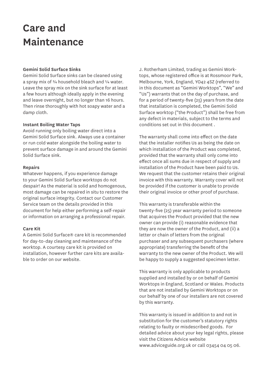## **Care and Maintenance**

### **Gemini Solid Surface Sinks**

Gemini Solid Surface sinks can be cleaned using a spray mix of 3/4 household bleach and  $\frac{1}{4}$  water. Leave the spray mix on the sink surface for at least a few hours although ideally apply in the evening and leave overnight, but no longer than 16 hours. Then rinse thoroughly with hot soapy water and a damp cloth.

#### **Instant Boiling Water Taps**

Avoid running only boiling water direct into a Gemini Solid Surface sink. Always use a container or run cold water alongside the boiling water to prevent surface damage in and around the Gemini Solid Surface sink.

#### **Repairs**

Whatever happens, if you experience damage to your Gemini Solid Surface worktops do not despair! As the material is solid and homogenous, most damage can be repaired in situ to restore the original surface integrity. Contact our Customer Service team on the details provided in this document for help either performing a self-repair or information on arranging a professional repair.

#### **Care Kit**

A Gemini Solid Surface® care kit is recommended for day-to-day cleaning and maintenance of the worktop. A courtesy care kit is provided on installation, however further care kits are available to order on our website.

J. Rotherham Limited, trading as Gemini Worktops, whose registered office is at Rossmoor Park, Melbourne, York, England, YO42 4SZ (referred to in this document as "Gemini Worktops", "We" and "Us") warrants that on the day of purchase, and for a period of twenty-five (25) years from the date that installation is completed, the Gemini Solid Surface worktop ("the Product") shall be free from any defect in materials, subject to the terms and conditions set out in this document .

The warranty shall come into effect on the date that the installer notifies Us as being the date on which installation of the Product was completed, provided that the warranty shall only come into effect once all sums due in respect of supply and installation of the Product have been paid to Us. We request that the customer retains their original invoice with this warranty. Warranty cover will not be provided if the customer is unable to provide their original invoice or other proof of purchase.

This warranty is transferable within the twenty-five (25) year warranty period to someone that acquires the Product provided that the new owner can provide (i) reasonable evidence that they are now the owner of the Product, and (ii) a letter or chain of letters from the original purchaser and any subsequent purchasers (where appropriate) transferring the benefit of the warranty to the new owner of the Product. We will be happy to supply a suggested specimen letter.

This warranty is only applicable to products supplied and installed by or on behalf of Gemini Worktops in England, Scotland or Wales. Products that are not installed by Gemini Worktops or on our behalf by one of our installers are not covered by this warranty.

This warranty is issued in addition to and not in substitution for the customer's statutory rights relating to faulty or misdescribed goods. For detailed advice about your key legal rights, please visit the Citizens Advice website www.adviceguide.org.uk or call 03454 04 05 06.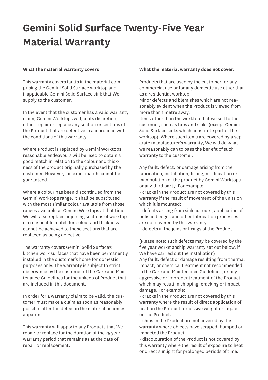# **Gemini Solid Surface Twenty-Five Year Material Warranty**

#### **What the material warranty covers**

This warranty covers faults in the material comprising the Gemini Solid Surface worktop and if applicable Gemini Solid Surface sink that We supply to the customer.

In the event that the customer has a valid warranty claim, Gemini Worktops will, at its discretion, either repair or replace any section or sections of the Product that are defective in accordance with the conditions of this warranty.

Where Product is replaced by Gemini Worktops, reasonable endeavours will be used to obtain a good match in relation to the colour and thickness of the product originally purchased by the customer. However, an exact match cannot be guaranteed.

Where a colour has been discontinued from the Gemini Worktops range, it shall be substituted with the most similar colour available from those ranges available at Gemini Worktops at that time. We will also replace adjoining sections of worktop if a reasonable match for colour and thickness cannot be achieved to those sections that are replaced as being defective.

The warranty covers Gemini Solid Surface® kitchen work surfaces that have been permanently installed in the customer's home for domestic purposes only. The warranty is subject to strict observance by the customer of the Care and Maintenance Guidelines for the upkeep of Product that are included in this document.

In order for a warranty claim to be valid, the customer must make a claim as soon as reasonably possible after the defect in the material becomes apparent.

This warranty will apply to any Products that We repair or replace for the duration of the 25 year warranty period that remains as at the date of repair or replacement.

#### **What the material warranty does not cover:**

Products that are used by the customer for any commercial use or for any domestic use other than as a residential worktop.

Minor defects and blemishes which are not reasonably evident when the Product is viewed from more than 1 metre away.

Items other than the worktop that we sell to the customer, such as taps and sinks (except Gemini Solid Surface sinks which constitute part of the worktop). Where such items are covered by a separate manufacturer's warranty, We will do what we reasonably can to pass the benefit of such warranty to the customer.

Any fault, defect, or damage arising from the fabrication, installation, fitting, modification or manipulation of the product by Gemini Worktops or any third party. For example:

- cracks in the Product are not covered by this warranty if the result of movement of the units on which it is mounted;

- defects arising from sink cut outs, application of polished edges and other fabrication processes are not covered by this warranty: - defects in the joins or fixings of the Product,

(Please note: such defects may be covered by the five year workmanship warranty set out below, if We have carried out the installation) Any fault, defect or damage resulting from thermal impact, or chemical treatment not recommended in the Care and Maintenance Guidelines, or any aggressive or improper treatment of the Product which may result in chipping, cracking or impact damage. For example:

- cracks in the Product are not covered by this warranty where the result of direct application of heat on the Product, excessive weight or impact on the Product.

- chips in the Product are not covered by this warranty where objects have scraped, bumped or impacted the Product.

- discolouration of the Product is not covered by this warranty where the result of exposure to heat or direct sunlight for prolonged periods of time.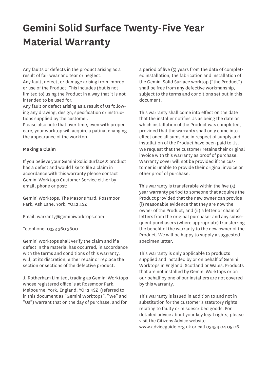# **Gemini Solid Surface Twenty-Five Year Material Warranty**

Any faults or defects in the product arising as a result of fair wear and tear or neglect.

Any fault, defect, or damage arising from improper use of the Product. This includes (but is not limited to) using the Product in a way that it is not intended to be used for.

Any fault or defect arising as a result of Us following any drawing, design, specification or instructions supplied by the customer.

Please also note that over time, even with proper care, your worktop will acquire a patina, changing the appearance of the worktop.

#### **Making a Claim**

If you believe your Gemini Solid Surface® product has a defect and would like to file a claim in accordance with this warranty please contact Gemini Worktops Customer Service either by email, phone or post:

Gemini Worktops, The Masons Yard, Rossmoor Park, Ash Lane, York, YO42 4SZ

Email: warranty@geminiworktops.com

Telephone: 0333 360 3800

Gemini Worktops shall verify the claim and if a defect in the material has occurred, in accordance with the terms and conditions of this warranty, will, at its discretion, either repair or replace the section or sections of the defective product.

J. Rotherham Limited, trading as Gemini Worktops whose registered office is at Rossmoor Park, Melbourne, York, England, YO42 4SZ (referred to in this document as "Gemini Worktops", "We" and "Us") warrant that on the day of purchase, and for

a period of five (5) years from the date of completed installation, the fabrication and installation of the Gemini Solid Surface worktop ("the Product") shall be free from any defective workmanship, subject to the terms and conditions set out in this document.

This warranty shall come into effect on the date that the installer notifies Us as being the date on which installation of the Product was completed, provided that the warranty shall only come into effect once all sums due in respect of supply and installation of the Product have been paid to Us. We request that the customer retains their original invoice with this warranty as proof of purchase. Warranty cover will not be provided if the customer is unable to provide their original invoice or other proof of purchase.

This warranty is transferable within the five (5) year warranty period to someone that acquires the Product provided that the new owner can provide (i) reasonable evidence that they are now the owner of the Product, and (ii) a letter or chain of letters from the original purchaser and any subsequent purchasers (where appropriate) transferring the benefit of the warranty to the new owner of the Product. We will be happy to supply a suggested specimen letter.

This warranty is only applicable to products supplied and installed by or on behalf of Gemini Worktops in England, Scotland or Wales. Products that are not installed by Gemini Worktops or on our behalf by one of our installers are not covered by this warranty.

This warranty is issued in addition to and not in substitution for the customer's statutory rights relating to faulty or misdescribed goods. For detailed advice about your key legal rights, please visit the Citizens Advice website www.adviceguide.org.uk or call 03454 04 05 06.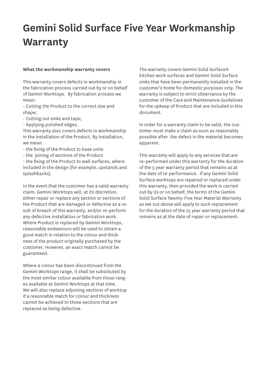# **Gemini Solid Surface Five Year Workmanship Warranty**

#### **What the workmanship warranty covers**

This warranty covers defects in workmanship in the fabrication process carried out by or on behalf of Gemini Worktops. By fabrication process we mean:

- Cutting the Product to the correct size and shape:

- Cutting out sinks and taps;

- Applying polished edges.

This warranty also covers defects in workmanship in the installation of the Product. By installation, we mean:

- the fixing of the Product to base units

- the joining of sections of the Product

- the fixing of the Product to wall surfaces, where included in the design (for example, upstands and splashbacks).

In the event that the customer has a valid warranty claim, Gemini Worktops will, at its discretion, either repair or replace any section or sections of the Product that are damaged or defective as a result of breach of this warranty, and/or re-perform any defective installation or fabrication work. Where Product is replaced by Gemini Worktops, reasonable endeavours will be used to obtain a good match in relation to the colour and thickness of the product originally purchased by the customer. However, an exact match cannot be guaranteed.

Where a colour has been discontinued from the Gemini Worktops range, it shall be substituted by the most similar colour available from those ranges available at Gemini Worktops at that time. We will also replace adjoining sections of worktop if a reasonable match for colour and thickness cannot be achieved to those sections that are replaced as being defective.

The warranty covers Gemini Solid Surface® kitchen work surfaces and Gemini Solid Surface sinks that have been permanently installed in the customer's home for domestic purposes only. The warranty is subject to strict observance by the customer of the Care and Maintenance Guidelines for the upkeep of Product that are included in this document.

In order for a warranty claim to be valid, the customer must make a claim as soon as reasonably possible after the defect in the material becomes apparent.

This warranty will apply to any services that are re-performed under this warranty for the duration of the 5 year warranty period that remains as at the date of re-performance. If any Gemini Solid Surface worktops are repaired or replaced under this warranty, then provided the work is carried out by Us or on behalf, the terms of the Gemini Solid Surface Twenty-Five Year Material Warranty as set out above will apply to such replacement for the duration of the 25 year warranty period that remains as at the date of repair or replacement.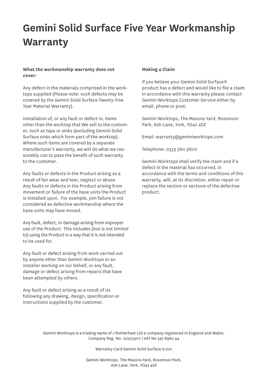# **Gemini Solid Surface Five Year Workmanship Warranty**

**What the workmanship warranty does not cover:**

Any defect in the materials comprised in the worktops supplied (Please note: such defects may be covered by the Gemini Solid Surface Twenty-Five Year Material Warranty).

Installation of, or any fault or defect in, items other than the worktop that We sell to the customer, such as taps or sinks (excluding Gemini Solid Surface sinks which form part of the worktop). Where such items are covered by a separate manufacturer's warranty, we will do what we reasonably can to pass the benefit of such warranty to the customer.

Any faults or defects in the Product arising as a result of fair wear and tear, neglect or abuse. Any faults or defects in the Product arising from movement or failure of the base units the Product is installed upon. For example, join failure is not considered as defective workmanship where the base units may have moved.

Any fault, defect, or damage arising from improper use of the Product. This includes (but is not limited to) using the Product in a way that it is not intended to be used for.

Any fault or defect arising from work carried out by anyone other than Gemini Worktops or an installer working on our behalf, or any fault, damage or defect arising from repairs that have been attempted by others.

Any fault or defect arising as a result of Us following any drawing, design, specification or instructions supplied by the customer.

### **Making a Claim**

If you believe your Gemini Solid Surface® product has a defect and would like to file a claim in accordance with this warranty please contact Gemini Worktops Customer Service either by email, phone or post:

Gemini Worktops, The Masons Yard, Rossmoor Park, Ash Lane, York, YO42 4SZ

Email: warranty@geminiworktops.com

Telephone: 0333 360 3800

Gemini Worktops shall verify the claim and if a defect in the material has occurred, in accordance with the terms and conditions of this warranty, will, at its discretion, either repair or replace the section or sections of the defective product.

Gemini Worktops is a trading name of J Rotherham Ltd a company registered in England and Wales. Company Reg. No. 02251907 | VAT No 347 8962 44

Warranty Card Gemini Solid Surface V.001